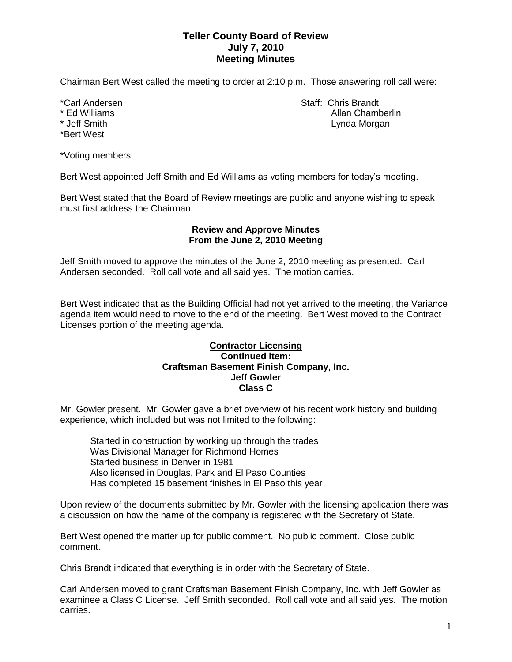# **Teller County Board of Review July 7, 2010 Meeting Minutes**

Chairman Bert West called the meeting to order at 2:10 p.m. Those answering roll call were:

- 
- \*Bert West

\*Voting members

Bert West appointed Jeff Smith and Ed Williams as voting members for today's meeting.

Bert West stated that the Board of Review meetings are public and anyone wishing to speak must first address the Chairman.

### **Review and Approve Minutes From the June 2, 2010 Meeting**

Jeff Smith moved to approve the minutes of the June 2, 2010 meeting as presented. Carl Andersen seconded. Roll call vote and all said yes. The motion carries.

Bert West indicated that as the Building Official had not yet arrived to the meeting, the Variance agenda item would need to move to the end of the meeting. Bert West moved to the Contract Licenses portion of the meeting agenda.

#### **Contractor Licensing Continued item: Craftsman Basement Finish Company, Inc. Jeff Gowler Class C**

Mr. Gowler present. Mr. Gowler gave a brief overview of his recent work history and building experience, which included but was not limited to the following:

Started in construction by working up through the trades Was Divisional Manager for Richmond Homes Started business in Denver in 1981 Also licensed in Douglas, Park and El Paso Counties Has completed 15 basement finishes in El Paso this year

Upon review of the documents submitted by Mr. Gowler with the licensing application there was a discussion on how the name of the company is registered with the Secretary of State.

Bert West opened the matter up for public comment. No public comment. Close public comment.

Chris Brandt indicated that everything is in order with the Secretary of State.

Carl Andersen moved to grant Craftsman Basement Finish Company, Inc. with Jeff Gowler as examinee a Class C License. Jeff Smith seconded. Roll call vote and all said yes. The motion carries.

\*Carl Andersen Staff: Chris Brandt \* Ed Williams Allan Chamberlin Lynda Morgan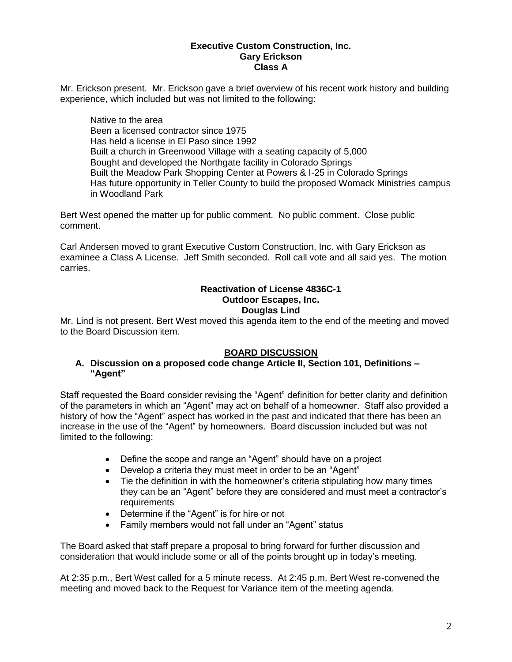#### **Executive Custom Construction, Inc. Gary Erickson Class A**

Mr. Erickson present. Mr. Erickson gave a brief overview of his recent work history and building experience, which included but was not limited to the following:

Native to the area Been a licensed contractor since 1975 Has held a license in El Paso since 1992 Built a church in Greenwood Village with a seating capacity of 5,000 Bought and developed the Northgate facility in Colorado Springs Built the Meadow Park Shopping Center at Powers & I-25 in Colorado Springs Has future opportunity in Teller County to build the proposed Womack Ministries campus in Woodland Park

Bert West opened the matter up for public comment. No public comment. Close public comment.

Carl Andersen moved to grant Executive Custom Construction, Inc. with Gary Erickson as examinee a Class A License. Jeff Smith seconded. Roll call vote and all said yes. The motion carries.

### **Reactivation of License 4836C-1 Outdoor Escapes, Inc. Douglas Lind**

Mr. Lind is not present. Bert West moved this agenda item to the end of the meeting and moved to the Board Discussion item.

# **BOARD DISCUSSION**

### **A. Discussion on a proposed code change Article II, Section 101, Definitions – "Agent"**

Staff requested the Board consider revising the "Agent" definition for better clarity and definition of the parameters in which an "Agent" may act on behalf of a homeowner. Staff also provided a history of how the "Agent" aspect has worked in the past and indicated that there has been an increase in the use of the "Agent" by homeowners. Board discussion included but was not limited to the following:

- Define the scope and range an "Agent" should have on a project
- Develop a criteria they must meet in order to be an "Agent"
- Tie the definition in with the homeowner's criteria stipulating how many times they can be an "Agent" before they are considered and must meet a contractor's requirements
- Determine if the "Agent" is for hire or not
- Family members would not fall under an "Agent" status

The Board asked that staff prepare a proposal to bring forward for further discussion and consideration that would include some or all of the points brought up in today's meeting.

At 2:35 p.m., Bert West called for a 5 minute recess. At 2:45 p.m. Bert West re-convened the meeting and moved back to the Request for Variance item of the meeting agenda.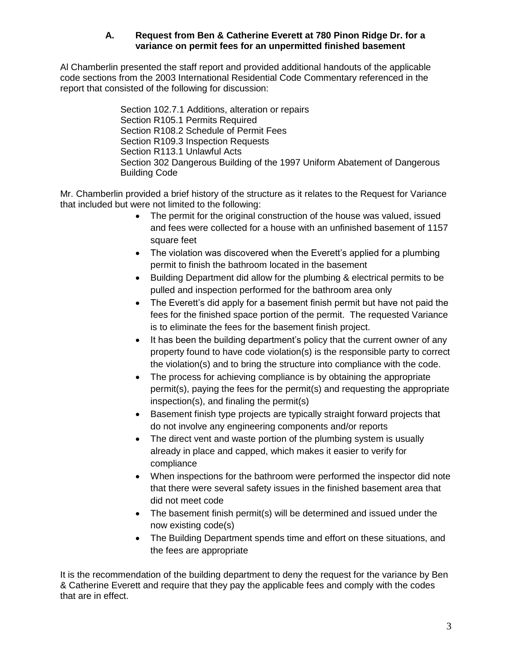## **A. Request from Ben & Catherine Everett at 780 Pinon Ridge Dr. for a variance on permit fees for an unpermitted finished basement**

Al Chamberlin presented the staff report and provided additional handouts of the applicable code sections from the 2003 International Residential Code Commentary referenced in the report that consisted of the following for discussion:

> Section 102.7.1 Additions, alteration or repairs Section R105.1 Permits Required Section R108.2 Schedule of Permit Fees Section R109.3 Inspection Requests Section R113.1 Unlawful Acts Section 302 Dangerous Building of the 1997 Uniform Abatement of Dangerous Building Code

Mr. Chamberlin provided a brief history of the structure as it relates to the Request for Variance that included but were not limited to the following:

- The permit for the original construction of the house was valued, issued and fees were collected for a house with an unfinished basement of 1157 square feet
- The violation was discovered when the Everett's applied for a plumbing permit to finish the bathroom located in the basement
- Building Department did allow for the plumbing & electrical permits to be pulled and inspection performed for the bathroom area only
- The Everett's did apply for a basement finish permit but have not paid the fees for the finished space portion of the permit. The requested Variance is to eliminate the fees for the basement finish project.
- It has been the building department's policy that the current owner of any property found to have code violation(s) is the responsible party to correct the violation(s) and to bring the structure into compliance with the code.
- The process for achieving compliance is by obtaining the appropriate permit(s), paying the fees for the permit(s) and requesting the appropriate inspection(s), and finaling the permit(s)
- Basement finish type projects are typically straight forward projects that do not involve any engineering components and/or reports
- The direct vent and waste portion of the plumbing system is usually already in place and capped, which makes it easier to verify for compliance
- When inspections for the bathroom were performed the inspector did note that there were several safety issues in the finished basement area that did not meet code
- The basement finish permit(s) will be determined and issued under the now existing code(s)
- The Building Department spends time and effort on these situations, and the fees are appropriate

It is the recommendation of the building department to deny the request for the variance by Ben & Catherine Everett and require that they pay the applicable fees and comply with the codes that are in effect.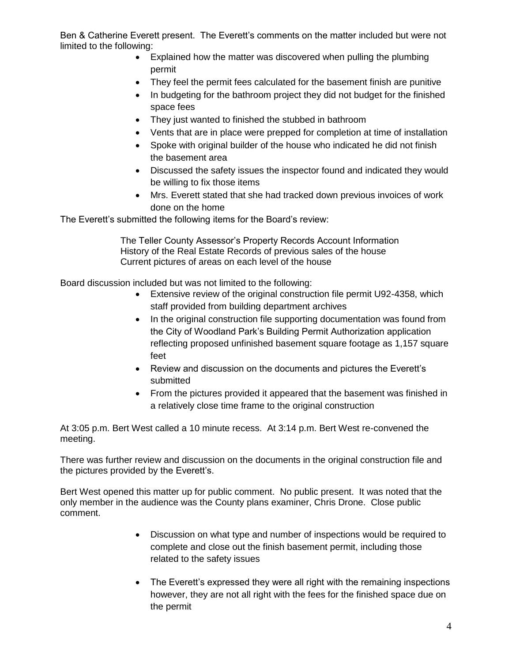Ben & Catherine Everett present. The Everett's comments on the matter included but were not limited to the following:

- Explained how the matter was discovered when pulling the plumbing permit
- They feel the permit fees calculated for the basement finish are punitive
- In budgeting for the bathroom project they did not budget for the finished space fees
- They just wanted to finished the stubbed in bathroom
- Vents that are in place were prepped for completion at time of installation
- Spoke with original builder of the house who indicated he did not finish the basement area
- Discussed the safety issues the inspector found and indicated they would be willing to fix those items
- Mrs. Everett stated that she had tracked down previous invoices of work done on the home

The Everett's submitted the following items for the Board's review:

The Teller County Assessor's Property Records Account Information History of the Real Estate Records of previous sales of the house Current pictures of areas on each level of the house

Board discussion included but was not limited to the following:

- Extensive review of the original construction file permit U92-4358, which staff provided from building department archives
- In the original construction file supporting documentation was found from the City of Woodland Park's Building Permit Authorization application reflecting proposed unfinished basement square footage as 1,157 square feet
- Review and discussion on the documents and pictures the Everett's submitted
- From the pictures provided it appeared that the basement was finished in a relatively close time frame to the original construction

At 3:05 p.m. Bert West called a 10 minute recess. At 3:14 p.m. Bert West re-convened the meeting.

There was further review and discussion on the documents in the original construction file and the pictures provided by the Everett's.

Bert West opened this matter up for public comment. No public present. It was noted that the only member in the audience was the County plans examiner, Chris Drone. Close public comment.

- Discussion on what type and number of inspections would be required to complete and close out the finish basement permit, including those related to the safety issues
- The Everett's expressed they were all right with the remaining inspections however, they are not all right with the fees for the finished space due on the permit